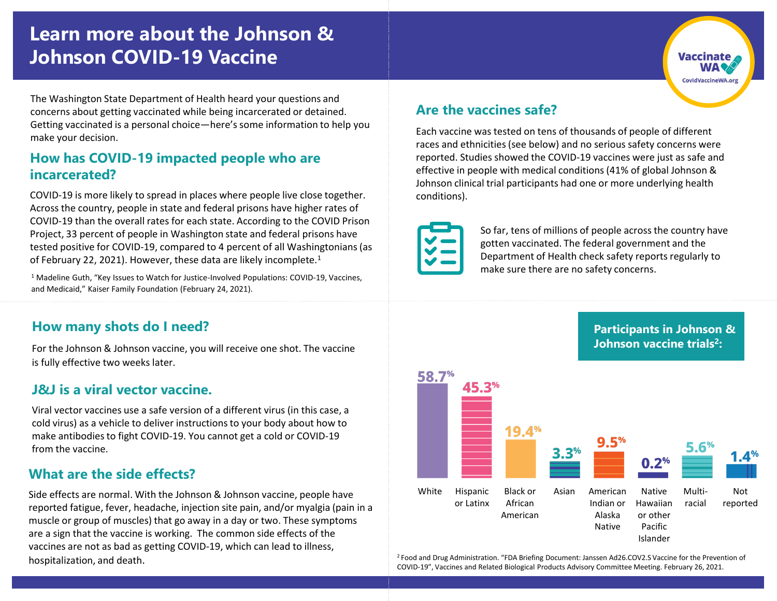# **Learn more about the Johnson & Johnson COVID-19 Vaccine**

The Washington State Department of Health heard your questions and concerns about getting vaccinated while being incarcerated or detained. Getting vaccinated is a personal choice—here's some information to help you make your decision.

#### **How has COVID-19 impacted people who are incarcerated?**

COVID-19 is more likely to spread in places where people live close together. Across the country, people in state and federal prisons have higher rates of COVID-19 than the overall rates for each state. According to the COVID Prison Project, 33 percent of people in Washington state and federal prisons have tested positive for COVID-19, compared to 4 percent of all Washingtonians (as of February 22, 2021). However, these data are likely incomplete.<sup>1</sup>

<sup>1</sup> Madeline Guth, "Key Issues to Watch for Justice-Involved Populations: COVID-19, Vaccines, and Medicaid," Kaiser Family Foundation (February 24, 2021).

#### **How many shots do I need?**

For the Johnson & Johnson vaccine, you will receive one shot. The vaccine is fully effective two weeks later.

#### **J&J is a viral vector vaccine.**

Viral vector vaccines use a safe version of a different virus (in this case, a cold virus) as a vehicle to deliver instructions to your body about how to make antibodies to fight COVID-19. You cannot get a cold or COVID-19 from the vaccine.

#### **What are the side effects?**

Side effects are normal. With the Johnson & Johnson vaccine, people have reported fatigue, fever, headache, injection site pain, and/or myalgia (pain in a muscle or group of muscles) that go away in a day or two. These symptoms are a sign that the vaccine is working. The common side effects of the vaccines are not as bad as getting COVID-19, which can lead to illness, hospitalization, and death.

#### **Are the vaccines safe?**

Each vaccine was tested on tens of thousands of people of different races and ethnicities (see below) and no serious safety concerns were reported. Studies showed the COVID-19 vaccines were just as safe and effective in people with medical conditions (41% of global Johnson & Johnson clinical trial participants had one or more underlying health conditions).



So far, tens of millions of people across the country have gotten vaccinated. The federal government and the Department of Health check safety reports regularly to make sure there are no safety concerns.

#### **Participants in Johnson & Johnson vaccine trials<sup>2</sup> :**



<sup>2</sup>Food and Drug Administration. "FDA Briefing Document: Janssen Ad26.COV2.S Vaccine for the Prevention of COVID-19", Vaccines and Related Biological Products Advisory Committee Meeting. February 26, 2021.